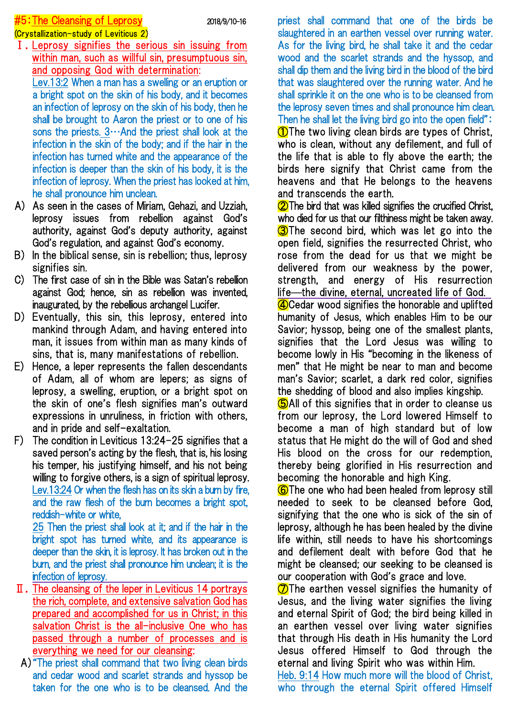## $#5:$ The Cleansing of Leprosy  $2018/9/10-16$

# (Crystallization-study of Leviticus 2)

Ⅰ.Leprosy signifies the serious sin issuing from within man, such as willful sin, presumptuous sin, and opposing God with determination:

Lev.13:2 When a man has a swelling or an eruption or a bright spot on the skin of his body, and it becomes an infection of leprosy on the skin of his body, then he shall be brought to Aaron the priest or to one of his sons the priests.  $3 \cdots$  And the priest shall look at the infection in the skin of the body; and if the hair in the infection has turned white and the appearance of the infection is deeper than the skin of his body, it is the infection of leprosy. When the priest has looked at him, he shall pronounce him unclean.

- A) As seen in the cases of Miriam, Gehazi, and Uzziah, leprosy issues from rebellion against God's authority, against God's deputy authority, against God's regulation, and against God's economy.
- B) In the biblical sense, sin is rebellion; thus, leprosy signifies sin.
- C) The first case of sin in the Bible was Satan's rebellion against God; hence, sin as rebellion was invented, inaugurated, by the rebellious archangel Lucifer.
- D) Eventually, this sin, this leprosy, entered into mankind through Adam, and having entered into man, it issues from within man as many kinds of sins, that is, many manifestations of rebellion.
- E) Hence, a leper represents the fallen descendants of Adam, all of whom are lepers; as signs of leprosy, a swelling, eruption, or a bright spot on the skin of one's flesh signifies man's outward expressions in unruliness, in friction with others, and in pride and self-exaltation.
- F) The condition in Leviticus 13:24-25 signifies that a saved person's acting by the flesh, that is, his losing his temper, his justifying himself, and his not being willing to forgive others, is a sign of spiritual leprosy. Lev.13:24 Or when the flesh has on its skin a burn by fire, and the raw flesh of the burn becomes a bright spot, reddish-white or white,

25 Then the priest shall look at it; and if the hair in the bright spot has turned white, and its appearance is deeper than the skin, it is leprosy. It has broken out in the burn, and the priest shall pronounce him unclean; it is the infection of leprosy.

- Ⅱ.The cleansing of the leper in Leviticus 14 portrays the rich, complete, and extensive salvation God has prepared and accomplished for us in Christ; in this salvation Christ is the all-inclusive One who has passed through a number of processes and is everything we need for our cleansing:
- A)"The priest shall command that two living clean birds and cedar wood and scarlet strands and hyssop be taken for the one who is to be cleansed. And the

priest shall command that one of the birds be slaughtered in an earthen vessel over running water. As for the living bird, he shall take it and the cedar wood and the scarlet strands and the hyssop, and shall dip them and the living bird in the blood of the bird that was slaughtered over the running water. And he shall sprinkle it on the one who is to be cleansed from the leprosy seven times and shall pronounce him clean. Then he shall let the living bird go into the open field": **1** The two living clean birds are types of Christ, who is clean, without any defilement, and full of the life that is able to fly above the earth; the birds here signify that Christ came from the heavens and that He belongs to the heavens

and transcends the earth. **2** The bird that was killed signifies the crucified Christ, who died for us that our filthiness might be taken away. **3**The second bird, which was let go into the open field, signifies the resurrected Christ, who rose from the dead for us that we might be delivered from our weakness by the power, strength, and energy of His resurrection life—the divine, eternal, uncreated life of God.

④Cedar wood signifies the honorable and uplifted humanity of Jesus, which enables Him to be our Savior; hyssop, being one of the smallest plants, signifies that the Lord Jesus was willing to become lowly in His "becoming in the likeness of men" that He might be near to man and become man's Savior; scarlet, a dark red color, signifies the shedding of blood and also implies kingship.

**G**All of this signifies that in order to cleanse us from our leprosy, the Lord lowered Himself to become a man of high standard but of low status that He might do the will of God and shed His blood on the cross for our redemption, thereby being glorified in His resurrection and becoming the honorable and high King.

⑥The one who had been healed from leprosy still needed to seek to be cleansed before God, signifying that the one who is sick of the sin of leprosy, although he has been healed by the divine life within, still needs to have his shortcomings and defilement dealt with before God that he might be cleansed; our seeking to be cleansed is our cooperation with God's grace and love.

 $\circled{7}$ The earthen vessel signifies the humanity of Jesus, and the living water signifies the living and eternal Spirit of God; the bird being killed in an earthen vessel over living water signifies that through His death in His humanity the Lord Jesus offered Himself to God through the eternal and living Spirit who was within Him.

Heb. 9:14 How much more will the blood of Christ, who through the eternal Spirit offered Himself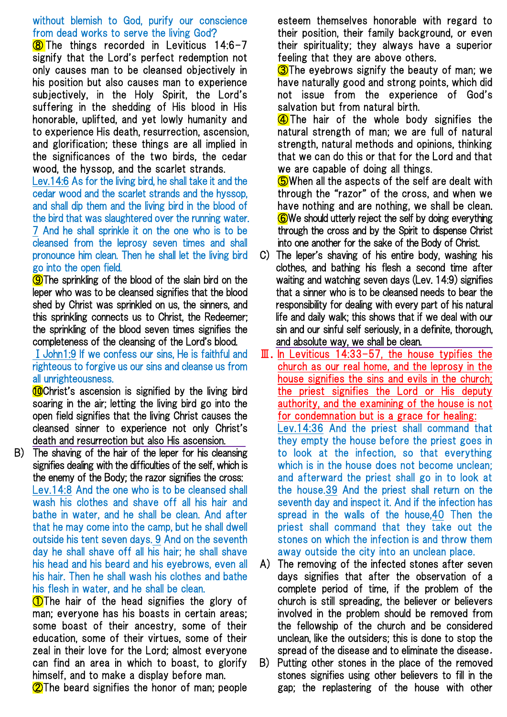### without blemish to God, purify our conscience from dead works to serve the living God?

 $\overline{\text{8}}$  The things recorded in Leviticus 14:6-7 signify that the Lord's perfect redemption not only causes man to be cleansed objectively in his position but also causes man to experience subjectively, in the Holy Spirit, the Lord's suffering in the shedding of His blood in His honorable, uplifted, and yet lowly humanity and to experience His death, resurrection, ascension, and glorification; these things are all implied in the significances of the two birds, the cedar wood, the hyssop, and the scarlet strands.

Lev.14:6 As for the living bird, he shall take it and the cedar wood and the scarlet strands and the hyssop, and shall dip them and the living bird in the blood of the bird that was slaughtered over the running water. 7 And he shall sprinkle it on the one who is to be cleansed from the leprosy seven times and shall pronounce him clean. Then he shall let the living bird go into the open field.

**O**The sprinkling of the blood of the slain bird on the leper who was to be cleansed signifies that the blood shed by Christ was sprinkled on us, the sinners, and this sprinkling connects us to Christ, the Redeemer; the sprinkling of the blood seven times signifies the completeness of the cleansing of the Lord's blood.

## ⅠJohn1:9 If we confess our sins, He is faithful and righteous to forgive us our sins and cleanse us from all unrighteousness.

**Conduct's ascension is signified by the living bird** soaring in the air; letting the living bird go into the open field signifies that the living Christ causes the cleansed sinner to experience not only Christ's death and resurrection but also His ascension.

B) The shaving of the hair of the leper for his cleansing signifies dealing with the difficulties of the self, which is the enemy of the Body; the razor signifies the cross: Lev.14:8 And the one who is to be cleansed shall wash his clothes and shave off all his hair and bathe in water, and he shall be clean. And after that he may come into the camp, but he shall dwell outside his tent seven days. 9 And on the seventh day he shall shave off all his hair; he shall shave his head and his beard and his eyebrows, even all his hair. Then he shall wash his clothes and bathe his flesh in water, and he shall be clean.

**1** The hair of the head signifies the glory of man; everyone has his boasts in certain areas; some boast of their ancestry, some of their education, some of their virtues, some of their zeal in their love for the Lord; almost everyone can find an area in which to boast, to glorify himself, and to make a display before man.

**2**The beard signifies the honor of man; people

esteem themselves honorable with regard to their position, their family background, or even their spirituality; they always have a superior feeling that they are above others.

**3**The evebrows signify the beauty of man: we have naturally good and strong points, which did not issue from the experience of God's salvation but from natural birth.

**4** The hair of the whole body signifies the natural strength of man; we are full of natural strength, natural methods and opinions, thinking that we can do this or that for the Lord and that we are capable of doing all things.

**G**When all the aspects of the self are dealt with through the "razor" of the cross, and when we have nothing and are nothing, we shall be clean. ⑥We should utterly reject the self by doing everything through the cross and by the Spirit to dispense Christ into one another for the sake of the Body of Christ.

- C) The leper's shaving of his entire body, washing his clothes, and bathing his flesh a second time after waiting and watching seven days (Lev. 14:9) signifies that a sinner who is to be cleansed needs to bear the responsibility for dealing with every part of his natural life and daily walk; this shows that if we deal with our sin and our sinful self seriously, in a definite, thorough, and absolute way, we shall be clean.
- $III.$  In Leviticus 14:33-57, the house typifies the church as our real home, and the leprosy in the house signifies the sins and evils in the church; the priest signifies the Lord or His deputy authority, and the examining of the house is not for condemnation but is a grace for healing: Lev.14:36 And the priest shall command that they empty the house before the priest goes in to look at the infection, so that everything which is in the house does not become unclean; and afterward the priest shall go in to look at the house.39 And the priest shall return on the seventh day and inspect it. And if the infection has spread in the walls of the house,40 Then the priest shall command that they take out the stones on which the infection is and throw them away outside the city into an unclean place.
- A) The removing of the infected stones after seven days signifies that after the observation of a complete period of time, if the problem of the church is still spreading, the believer or believers involved in the problem should be removed from the fellowship of the church and be considered unclean, like the outsiders; this is done to stop the spread of the disease and to eliminate the disease.
- B) Putting other stones in the place of the removed stones signifies using other believers to fill in the gap; the replastering of the house with other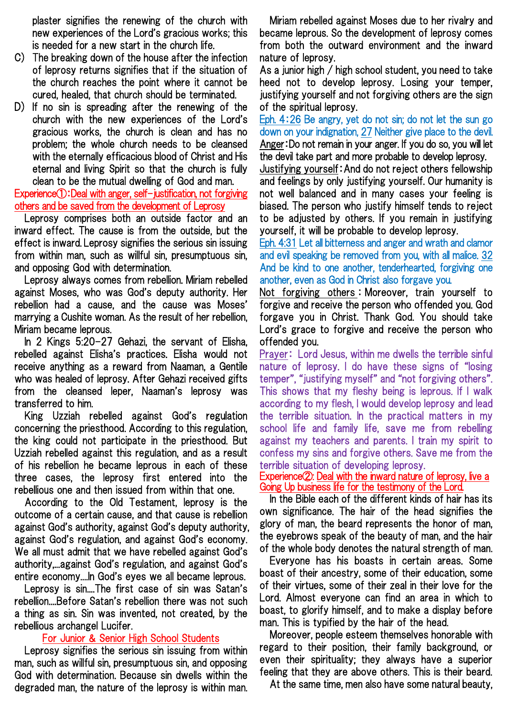plaster signifies the renewing of the church with new experiences of the Lord's gracious works; this is needed for a new start in the church life.

- C) The breaking down of the house after the infection of leprosy returns signifies that if the situation of the church reaches the point where it cannot be cured, healed, that church should be terminated.
- D) If no sin is spreading after the renewing of the church with the new experiences of the Lord's gracious works, the church is clean and has no problem; the whole church needs to be cleansed with the eternally efficacious blood of Christ and His eternal and living Spirit so that the church is fully clean to be the mutual dwelling of God and man.

Experience①:Deal with anger, self-justification, not forgiving others and be saved from the development of Leprosy

Leprosy comprises both an outside factor and an inward effect. The cause is from the outside, but the effect is inward. Leprosy signifies the serious sin issuing from within man, such as willful sin, presumptuous sin, and opposing God with determination.

Leprosy always comes from rebellion. Miriam rebelled against Moses, who was God's deputy authority. Her rebellion had a cause, and the cause was Moses' marrying a Cushite woman. As the result of her rebellion, Miriam became leprous.

In 2 Kings 5:20-27 Gehazi, the servant of Elisha, rebelled against Elisha's practices. Elisha would not receive anything as a reward from Naaman, a Gentile who was healed of leprosy. After Gehazi received gifts from the cleansed leper, Naaman's leprosy was transferred to him.

King Uzziah rebelled against God's regulation concerning the priesthood. According to this regulation, the king could not participate in the priesthood. But Uzziah rebelled against this regulation, and as a result of his rebellion he became leprous in each of these three cases, the leprosy first entered into the rebellious one and then issued from within that one.

According to the Old Testament, leprosy is the outcome of a certain cause, and that cause is rebellion against God's authority, against God's deputy authority, against God's regulation, and against God's economy. We all must admit that we have rebelled against God's authority,...against God's regulation, and against God's entire economy....In God's eyes we all became leprous.

Leprosy is sin....The first case of sin was Satan's rebellion....Before Satan's rebellion there was not such a thing as sin. Sin was invented, not created, by the rebellious archangel Lucifer.

### For Junior & Senior High School Students

Leprosy signifies the serious sin issuing from within man, such as willful sin, presumptuous sin, and opposing God with determination. Because sin dwells within the degraded man, the nature of the leprosy is within man.

Miriam rebelled against Moses due to her rivalry and became leprous. So the development of leprosy comes from both the outward environment and the inward nature of leprosy.

As a junior high / high school student, you need to take heed not to develop leprosy. Losing your temper, justifying yourself and not forgiving others are the sign of the spiritual leprosy.

Eph. 4:26 Be angry, yet do not sin; do not let the sun go down on your indignation, 27 Neither give place to the devil. Anger:Do not remain in your anger. If you do so, you will let the devil take part and more probable to develop leprosy.

Justifying yourself:And do not reject others fellowship and feelings by only justifying yourself. Our humanity is not well balanced and in many cases your feeling is biased. The person who justify himself tends to reject to be adjusted by others. If you remain in justifying yourself, it will be probable to develop leprosy.

Eph. 4:31 Let all bitterness and anger and wrath and clamor and evil speaking be removed from you, with all malice. 32 And be kind to one another, tenderhearted, forgiving one another, even as God in Christ also forgave you.

Not forgiving others : Moreover, train yourself to forgive and receive the person who offended you. God forgave you in Christ. Thank God. You should take Lord's grace to forgive and receive the person who offended you.

Prayer: Lord Jesus, within me dwells the terrible sinful nature of leprosy. I do have these signs of "losing temper", "justifying myself" and "not forgiving others". This shows that my fleshy being is leprous. If I walk according to my flesh, I would develop leprosy and lead the terrible situation. In the practical matters in my school life and family life, save me from rebelling against my teachers and parents. I train my spirit to confess my sins and forgive others. Save me from the terrible situation of developing leprosy.

Experience②: Deal with the inward nature of leprosy, live a Going Up business life for the testimony of the Lord.

In the Bible each of the different kinds of hair has its own significance. The hair of the head signifies the glory of man, the beard represents the honor of man, the eyebrows speak of the beauty of man, and the hair of the whole body denotes the natural strength of man.

Everyone has his boasts in certain areas. Some boast of their ancestry, some of their education, some of their virtues, some of their zeal in their love for the Lord. Almost everyone can find an area in which to boast, to glorify himself, and to make a display before man. This is typified by the hair of the head.

Moreover, people esteem themselves honorable with regard to their position, their family background, or even their spirituality; they always have a superior feeling that they are above others. This is their beard.

At the same time, men also have some natural beauty,